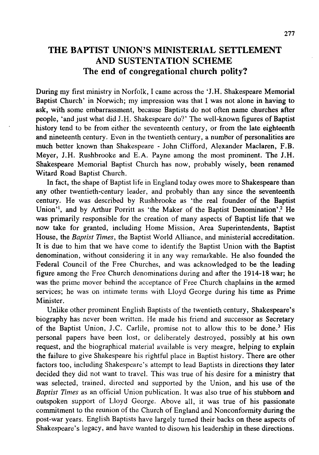# THE BAPTIST UNION'S MINISTERIAL SETTLEMENT AND SUSTENTATION SCHEME The end of congregational church polity?

During my first ministry in Norfolk, I came across the 'J.H. Shakespeare Memorial Baptist Church' in Norwich; my impression was that I was not alone in having to ask, with some embarrassment, because Baptists do not often name churches after people, 'and just what did J.H. Shakespeare do?' The well-known figures of Baptist history tend to be from either the seventeenth century, or from the late eighteenth and nineteenth century. Even in the twentieth century, a number of personalities are much better known than Shakespeare - John Clifford, Alexander Maclaren, F.B. Meyer, J.H. Rushbrooke and E.A. Payne among the most prominent. The J.H. Shakespeare Memorial Baptist Church has now, probably wisely, been renamed Witard Road Baptist Church.

In fact, the shape of Baptist life in England today owes more to Shakespeare than any other twentieth-century leader, and probably than any since the seventeenth century. He was described by Rushbrooke as 'the real founder of the Baptist Union'<sup>1</sup>, and by Arthur Porritt as 'the Maker of the Baptist Denomination'.<sup>2</sup> He was primarily responsible for the creation of many aspects of Baptist life that we now take for granted, including Home Mission, Area Superintendents, Baptist House, the *Baptist Times,* the Baptist World Alliance, and ministerial accreditation. It is due to him that we have come to identify the Baptist Union with the Baptist denomination, without considering it in any way remarkable. He also founded the Federal Council of the Free Churches, and was acknowledged to be the leading figure among the Free Church denominations during and after the 1914-18 war; he was the prime mover behind the acceptance of Free Church chaplains in the armed services; he was on intimate terms with Lloyd George during his time as Prime Minister.

Unlike other prominent English Baptists of the twentieth century, Shakespeare's biography has never been written. He made his friend and successor as Secretary of the Baptist Union, J.C. Carlile, promise not to allow this to be done.<sup>3</sup> His personal papers have been lost, or deliberately destroyed, possibly at his own request, and the biographical material available is very meagre, helping to explain the failure to give Shakespeare his rightful place in Baptist history. There are other factors too, including Shakespeare's attempt to lead Baptists in directions they later decided they did not want to travel. This was true of his desire for a ministry that was selected, trained, directed and supported by the Union, and his use of the *Baptist Times* as an official Union publication. It was also true of his stubborn and outspoken support of Lloyd George. Above all, it was true of his passionate commitment to the reunion of the Church of England and Nonconformity during the post-war years. English Baptists have largely turned their backs on these aspects of Shakespeare's legacy, and have wanted to disown his leadership in these directions.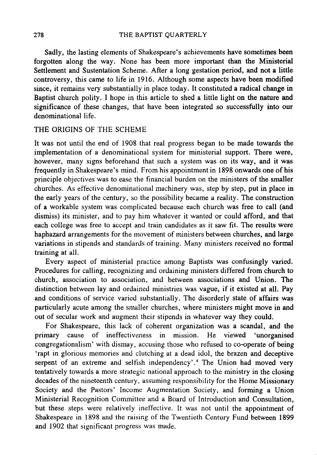Sadly, the lasting elements of Shakespeare's achievements have sometimes been forgotten along the way. None has been more important than the Ministerial Settlement and Sustentation Scheme. After a long gestation period, and not a little controversy, this came to life in 1916. Although some aspects have been modified since, it remains very substantially in place today. It constituted a radical change in Baptist church polity. I hope in this article to shed a little light on the nature and significance of these changes, that have been integrated so successfully into our denominational life.

## THE ORIGINS OF THE SCHEME

It was not until the end of 1908 that real progress began to be made towards the implementation of a denominational system for ministerial support. There were, however, many signs beforehand that such a system was on its way, and it was frequently in Shakespeare's mind. From his appointment in 1898 onwards one of his principle objectives was to ease the financial burden on the ministers of the smaller churches. As effective denominational machinery was, step by step, put in place in the early years of the century, so the possibility became a reality. The construction of a workable system was complicated because each church was free to call (and dismiss) its minister, and to pay him whatever it wanted or could afford, and that each college was free to accept and train candidates as it saw fit. The results were haphazard arrangements for the movement of ministers between churches, and large variations in stipends and standards of training. Many ministers received no formal training at all.

Every aspect of ministerial practice among Baptists was confusingly varied. Procedures for calling, recognizing and ordaining ministers differed from church to church, association to association, and between associations and Union. The distinction between lay and ordained ministries was vague, if it existed at all. Pay and conditions of service varied substantially. The disorderly state of affairs was particularly acute among the smaller churches, where ministers might move in and out of secular work and augment their stipends in whatever way they could.

For Shakespeare, this lack of coherent organization was a scandal, and the primary cause of ineffectiveness in mission. He viewed 'unorganised congregationalism' with dismay, accusing those who refused to co-operate of being 'rapt in glorious memories and clutching at a dead idol, the brazen and deceptive serpent of an extreme and selfish independency'.<sup>4</sup> The Union had moved very tentatively towards a more strategic national approach to the ministry in the closing decades of the nineteenth century, assuming responsibility for the Home Missionary Society and the Pastors' Income Augmentation Society, and forming a Union Ministerial Recognition Committee and a Board of Introduction and Consultation, but these steps were relatively ineffective. It was not until the appointment of Shakespeare in 1898 and the raising of the Twentieth Century Fund between 1899 and 1902 that significant progress was made.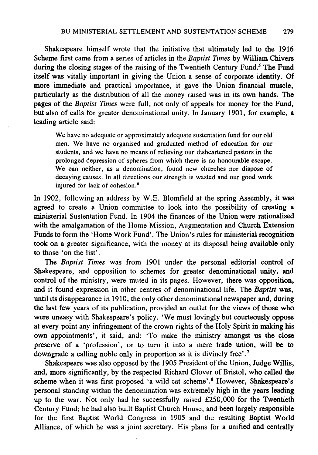Shakespeare himself wrote that the initiative that ultimately led to the 1916 Scheme first came from a series of articles in the *Baptist Times* by William Chivers during the closing stages of the raising of the Twentieth Century Fund.<sup>5</sup> The Fund itself was vitally important in giving the Union a sense of corporate identity. Of more immediate and practical importance, it gave the Union financial muscle, particularly as the distribution of all the money raised was in its own hands. The pages of the *Baptist Times* were full, not only of appeals for money for the Fund, but also of calls for greater denominational unity. In January 1901, for example, a leading article said:

We have no adequate or approximately adequate sustentation fund for our old men. We have no organised and graduated method of education for our students, and we have no means of relieving our disheartened pastors in the prolonged depression of spheres from which there is no honourable escape. We can neither, as a denomination, found new churches nor dispose of decaying causes. In all directions our strength is wasted and our good work injured for lack of cohesion. <sup>6</sup>

In 1902, following an address by W.E. Blomfield at the spring Assembly, it was agreed to create a Union committee to look into the possibility of creating a ministerial Sustentation Fund. In 1904 the finances of the Union were rationalised with the amalgamation of the Home Mission, Augmentation and Church Extension Funds to form the 'Home Work Fund'. The Union's rules for ministerial recognition took on a greater significance, with the money at its disposal being available only to those 'on the list'.

The *Baptist Times* was from 1901 under the personal editorial control of Shakespeare, and opposition to schemes for greater denominational unity, and control of the ministry, were muted in its pages. However, there was opposition, and it found expression in other centres of denominational life. The *Baptist* was, until its disappearance in 1910, the only other denominational newspaper and, during the last few years of its publication, provided an outlet for the views of those who were uneasy with Shakespeare's policy. 'We must lovingly but courteously oppose at every point any infringement of the crown rights of the Holy Spirit in making his own appointments', it said, and: 'To make the ministry amongst us the close preserve of a 'profession', or to turn it into a mere trade union, will be to downgrade a calling noble only in proportion as it is divinely free'.<sup>7</sup>

Shakespeare was also opposed by the 1905 President of the Union, Judge Willis, and, more significantly, by the respected Richard Glover of Bristol, who called the scheme when it was first proposed 'a wild cat scheme'.<sup>8</sup> However, Shakespeare's personal standing within the denomination was extremely high in the years leading up to the war. Not only had he successfully raised £250,000 for the Twentieth Century Fund; he had also built Baptist Church House, and been largely responsible for the first Baptist World Congress in 1905 and the resulting Baptist World Alliance, of which he was a joint secretary. His plans for a unified and centrally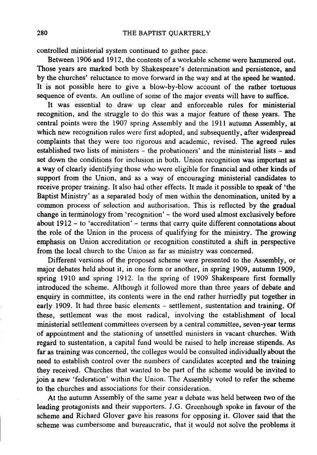controlled ministerial system continued to gather pace.

Between 1906 and 1912, the contents of a workable scheme were hammered out. Those years are marked both by Shakespeare's determination and persistence, and by the churches' reluctance to move forward in the way and at the speed he wanted. It is not possible here to give a blow-by-blow account of the rather tortuous sequence of events. An outline of some of the major events will have to suffice.

It was essential to draw up clear and enforceable rules for ministerial recognition, and the struggle to do this was a major feature of these years. The central points were the 1907 spring Assembly and the 1911 autumn Assembly, at which new recognition rules were first adopted, and subsequently, after widespread complaints that they were too rigorous and academic, revised. The agreed rules established two lists of ministers - the probationers' and the ministerial lists - and set down the conditions for inclusion in both. Union recognition was important as a way of clearly identifying those who were eligible for financial and other kinds of support from the Union, and as a way of encouraging ministerial candidates to receive proper training. It also had other effects. It made it possible to speak of 'the Baptist Ministry' as a separated body of men within the denomination, united by a common process of selection and authorisation. This is reflected by the gradual change in terminology from 'recognition' - the word used almost exclusively before about 1912 - to 'accreditation' - terms that carry quite different connotations about the role of the Union in the process of qualifying for the ministry. The growing emphasis on Union accreditation or recognition constituted a shift in perspective from the local church to the Union as far as ministry was concerned.

Different versions of the proposed scheme were presented to the Assembly, or major debates held about it, in one form or another, in spring 1909, autumn 1909, spring 1910 and spring 1912. In the spring of 1909 Shakespeare first formally introduced the scheme. Although it followed more than three years of debate and enquiry in committee, its contents were in the end rather hurriedly put together in early 1909. It had three basic elements - settlement, sustentation and training. Of these, settlement was the most radical, involving the establishment of local ministerial settlement committees overseen by a central committee, seven-year terms of appointment and the stationing of unsettled ministers in vacant churches. With regard to sustentation, a capital fund would be raised to help increase stipends. As far as training was concerned, the colleges would be consulted individually about the need to establish control over the numbers of candidates accepted and the training they received. Churches that wanted to be part of the scheme would be invited to join a new 'federation' within the Union. The Assembly voted to refer the scheme to the churches and associations for their consideration.

At the autumn Assembly of the same year a debate was held between two of the leading protagonists and their supporters. J.G. Greenhough spoke in favour of the scheme and Richard Glover gave his reasons for opposing it. Glover said that the scheme was cumbersome and bureaucratic, that it would not solve the problems it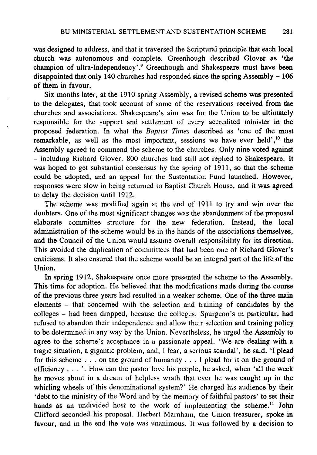was designed to address, and that it traversed the Scriptural principle that each local church was autonomous and complete. Greenhough described Glover as 'the champion of ultra-Independency'.9 Greenhough and Shakespeare must have been disappointed that only 140 churches had responded since the spring Assembly  $-106$ of them in favour.

Six months later, at the 1910 spring Assembly, a revised scheme was presented to the delegates, that took account of some of the reservations received from the churches and associations. Shakespeare's aim was for the Union to be ultimately responsible for the support and settlement of every accredited minister in the proposed federation. In what the *Baptist Times* described as 'one of the most remarkable, as well as the most important, sessions we have ever held', $^{10}$  the Assembly agreed to commend the scheme to the churches. Only nine voted against - including Richard Glover. 800 churches had still not replied to Shakespeare. It was hoped to get substantial consensus by the spring of 1911, so that the scheme could be adopted, and an appeal for the Sustentation Fund launched. However, responses were slow in being returned to Baptist Church House, and it was agreed to delay the decision until 1912.

The scheme was modified again at the end of 1911 to try and win over the doubters. One of the most significant changes was the abandonment of the proposed elaborate committee structure for the new federation. Instead, the local administration of the scheme would be in the hands of the associations themselves, and the Council of the Union would assume overall responsibility for its direction. This avoided the duplication of committees that had been one of Richard Glover's criticisms. It also ensured that the scheme would be an integral part of the life of the Union.

In spring 1912, Shakespeare once more presented the scheme to the Assembly. This time for adoption. He believed that the modifications made during the course of the previous three years had resulted in a weaker scheme. One of the three main elements - that concerned with the selection and training of candidates by the colleges - had been dropped, because the colleges, Spurgeon's in particular, had refused to abandon their independence and allow their selection and training policy to be determined in any way by the Union. Nevertheless, he urged the Assembly to agree to the scheme's acceptance in a passionate appeal. 'We are dealing with a tragic situation, a gigantic problem, and, I fear, a serious scandal', he said. 'I plead for this scheme ... on the ground of humanity ... I plead for it on the ground of efficiency ... '. How can the pastor love his people, he asked, when 'all the week he moves about in a dream of helpless wrath that ever he was caught up in the whirling wheels of this denominational system?' He charged his audience by their 'debt to the ministry of the Word and by the memory of faithful pastors' to set their hands as an undivided host to the work of implementing the scheme.<sup>11</sup> John Clifford seconded his proposal. Herbert Marnham, the Union treasurer, spoke in favour, and in the end the vote was unanimous. It was followed by a decision to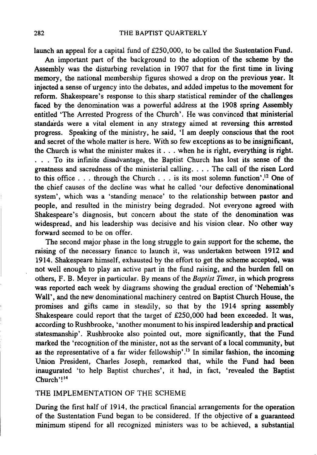launch an appeal for a capital fund of £250,000, to be called the Sustentation Fund.

An important part of the background to the adoption of the scheme by the Assembly was the disturbing revelation in 1907 that for the first time in living memory, the national membership figures showed a drop on the previous year. It injected a sense of urgency into the debates, and added impetus to the movement for reform. Shakespeare's response to this sharp statistical reminder of the challenges faced by the denomination was a powerful address at the 1908 spring Assembly entitled 'The Arrested Progress of the Church'. He was convinced that ministerial standards were a vital element in any strategy aimed at reversing this arrested progress. Speaking of the ministry, he said, 'I am deeply conscious that the root and secret of the whole matter is here. With so few exceptions as to be insignificant, the Church is what the minister makes it ... when he is right, everything is right. . . . To its infinite disadvantage, the Baptist Church has lost its sense of the greatness and sacredness of the ministerial calling .... The call of the risen Lord to this office . . . through the Church . . . is its most solemn function'.<sup>12</sup> One of the chief causes of the decline was what he called 'our defective denominational system', which was a 'standing menace' to the relationship between pastor and people, and resulted in the ministry being degraded. Not everyone agreed with Shakespeare's diagnosis, but concern about the state of the denomination was widespread, and his leadership was decisive and his vision clear. No other way forward seemed to be on offer.

The second major phase in the long struggle to gain support for the scheme, the raising of the necessary finance to launch it, was undertaken between 1912 and 1914. Shakespeare himself, exhausted by the effort to get the scheme accepte4, was not well enough to play an active part in the fund raising, and the burden fell on others, F. B. Meyer in particular. By means of the *Baptist Times,* in which progress was reported each week by diagrams showing the gradual erection of 'Nehemiah's Wall', and the new denominational machinery centred on Baptist Church House, the promises and gifts came in steadily, so that by the 1914 spring assembly Shakespeare could report that the target of £250,000 had been exceeded. It was, according to Rushbrooke, 'another monument to his inspired leadership and practical statesmanship'. Rushbrooke also pointed out, more significantly, that the Fund marked the 'recognition of the minister, not as the servant of a local community, but as the representative of a far wider fellowship'.<sup>13</sup> In similar fashion, the incoming Union President, Charles Joseph, remarked that, while the Fund had been inaugurated 'to help Baptist churches', it had, in fact, 'revealed the Baptist Church'!<sup>14</sup>

## THE IMPLEMENTATION OF THE SCHEME

During the first half of 1914, the practical financial arrangements for the operation of the Sustentation Fund began to be considered. If the objective of a guaranteed minimum stipend for all recognized ministers was to be achieved, a substantial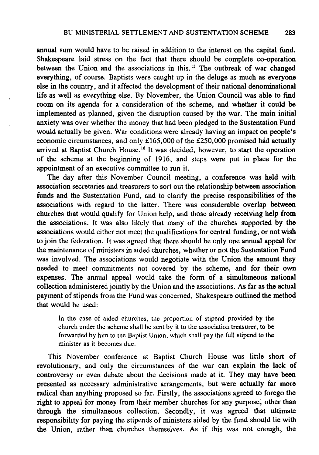annual sum would have to be raised in addition to the interest on the capital fund. Shakespeare laid stress on the fact that there should be complete co-operation between the Union and the associations in this.<sup>15</sup> The outbreak of war changed everything, of course. Baptists were caught up in the deluge as much as everyone else in the country, and it affected the development of their national denominational life as well as everything else. By November, the Union Council was able to find room on its agenda for a consideration of the scheme, and whether it could be implemented as planned, given the disruption caused by the war. The main initial anxiety was over whether the money that had been pledged to the Sustentation Fund would actually be given. War conditions were already having an impact on people's economic circumstances, and only £165,000 of the £250,000 promised had actually arrived at Baptist Church House.<sup>16</sup> It was decided, however, to start the operation of the scheme at the beginning of 1916, and steps were put in place for the appointment of an executive committee to run it.

The day after this November Council meeting, a conference was held with association secretaries and treasurers to sort out the relationship between association funds and the Sustentation Fund, and to clarify the precise responsibilities of the associations with regard to the latter. There was considerable overlap between churches that would qualify for Union help, and those already receiving help from the associations. It was also likely that many of the churches supported by the associations would either not meet the qualifications for central funding, or not wish to join the federation. It was agreed that there should be only one annual appeal for the maintenance of ministers in aided churches, whether or not the Sustentation Fund was involved. The associations would negotiate with the Union the amount they needed to meet commitments not covered by the scheme, and for their own expenses. The annual appeal would take the form of a simultaneous national collection administered jointly by the Union and the associations. As far as the actual payment of stipends from the Fund was concerned, Shakespeare outlined the method that would be used:

In the case of aided churches, the proportion of stipend provided by the church under the scheme shall be sent by it to the association treasurer, to be forwarded by him to the Baptist Union, which shall pay the full stipend to the minister as it becomes due.

This November conference at Baptist Church House was little short of revolutionary, and only the circumstances of the war can explain the lack of controversy or even debate about the decisions made at it. They may have been presented as necessary administrative arrangements, but were actually far more radical than anything proposed so far. Firstly, the associations agreed to forego the right to appeal for money from their member churches for any purpose, other than through the simultaneous collection. Secondly, it was agreed that ultimate responsibility for paying the stipends of ministers aided by the fund should lie with the Union, rather than churches themselves. As if this was not enough, the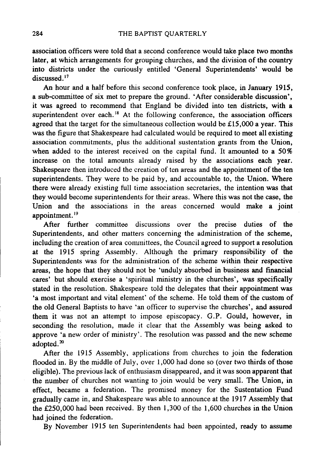association officers were told that a second conference would take place two months later, at which arrangements for grouping churches, and the division of the country into districts under the curiously entitled 'General Superintendents' would be discussed.<sup>17</sup>

An hour and a half before this second conference took place, in January 1915, a sub-committee of six met to prepare the ground. 'After considerable discussion', it was agreed to recommend that England be divided into ten districts, with a superintendent over each.<sup>18</sup> At the following conference, the association officers agreed that the target for the simultaneous collection would be £15,000 a year. This was the figure that Shakespeare had calculated would be required to meet all existing association commitments, plus the additional sustentation grants from the Union, when added to the interest received on the capital fund. It amounted to a 50% increase on the total amounts already raised by the associations each year. Shakespeare then introduced the creation of ten areas and the appointment of the ten superintendents. They were to be paid by, and accountable to, the Union. Where there were already existing full time association secretaries, the intention was that they would become superintendents for their areas. Where this was not the case, the Union and the associations in the areas concerned would make a joint appointment.<sup>19</sup>

After further committee discussions over the precise duties of the Superintendents, and other matters concerning the administration of the scheme, including the creation of area committees, the Council agreed to support a resolution at the 1915 spring Assembly. Although the primary responsibility of the Superintendents was for the administration of the scheme within their respective areas, the hope that they should not be 'unduly absorbed in business and financial cares' but should exercise a 'spiritual ministry in the churches', was specifically stated in the resolution. Shakespeare told the delegates that their appointment was 'a most important and vital element' of the scheme. He told them of the custom of the old General Baptists to have 'an officer to supervise the churches', and assured them it was not an attempt to impose episcopacy. G.P. Gould, however, in seconding the resolution, made it clear that the Assembly was being asked to approve 'a new order of ministry'. The resolution was passed and the new scheme adopted.<sup>20</sup>

After the 1915 Assembly. applications from churches to join the federation flooded in. By the middle of July, over 1,000 had done so (over two thirds of those eligible). The previous lack of enthusiasm disappeared, and it was soon apparent that the number of churches not wanting to join would be very small. The Union, in effect, became a federation. The promised money for the Sustentation Fund gradually came in, and Shakespeare was able to announce at the 1917 Assembly that the £250,000 had been received. By then 1,300 of the 1,600 churches in the Union had joined the federation.

By November 1915 ten Superintendents had been appointed, ready to assume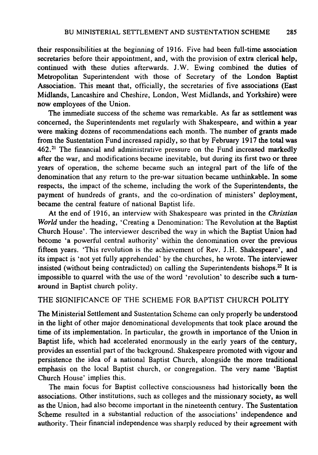their responsibilities at the beginning of 1916. Five had been full-time association secretaries before their appointment, and, with the provision of extra clerical help, continued with these duties afterwards. J.W. Ewing combined the duties of Metropolitan Superintendent with those of Secretary of the London Baptist Association. This meant that, officially, the secretaries of five associations (East Midlands, Lancashire and Cheshire, London, West Midlands, and Yorkshire) were now employees of the Union.

The immediate success of the scheme was remarkable. As far as settlement was concerned, the Superintendents met regularly with Shakespeare, and within a year were making dozens of recommendations each month. The number of grants made from the Sustentation Fund increased rapidly, so that by February 1917 the total was 462.21 The financial and administrative pressure on the Fund increased markedly after the war, and modifications became inevitable, but during its first two or three years of operation, the scheme became such an integral part of the life of the denomination that any return to the pre-war situation became unthinkable. In some respects, the impact of the scheme, including the work of the Superintendents, the payment of hundreds of grants, and the co-ordination of ministers' deployment, became the central feature of national Baptist life.

At the end of 1916, an interview with Shakespeare was printed in the *Christian World* under the heading, 'Creating a Denomination: The Revolution at the Baptist Church House'. The interviewer described the way in which the Baptist Union had become 'a powerful central authority' within the denomination over the previous fifteen years. 'This revolution is the achievement of Rev. J.H. Shakespeare', and its impact is 'not yet fully apprehended' by the churches, he wrote. The interviewer insisted (without being contradicted) on calling the Superintendents bishops.22 It is impossible to quarrel with the use of the word 'revolution' to describe such a turnaround in Baptist church polity.

## THE SIGNIFICANCE OF THE SCHEME FOR BAPTIST CHURCH POLITY

The Ministerial Settlement and Sustentation Scheme can only properly be understood in the light of other major denominational developments that took place around the time of its implementation. In particular, the growth in importance of the Union in Baptist life, which had accelerated enormously in the early years of the century, provides an essential part of the background. Shakespeare promoted with vigour and persistence the idea of a national Baptist Church, alongside the more traditional emphasis on the local Baptist church, or congregation. The very name 'Baptist Church House' implies this.

The main focus for Baptist collective consciousness had historically been the associations. Other institutions, such as colleges and the missionary society, as well as the Union, had also become important in the nineteenth century. The Sustentation Scheme resulted in a substantial reduction of the associations' independence and authority. Their financial independence was sharply reduced by their agreement with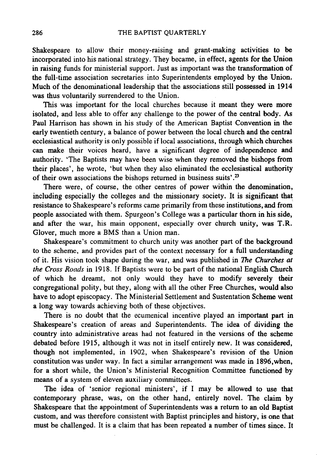Shakespeare to allow their money-raising and grant-making activities to be incorporated into his national strategy. They became, in effect, agents for the Union in raising funds for ministerial support. Just as important was the transformation of the full-time association secretaries into Superintendents employed by the Union. Much of the denominational leadership that the associations still possessed in 1914 was thus voluntarily surrendered to the Union.

This was important for the local churches because it meant they were more isolated, and less able to offer any challenge to the power of the central body. As Paul Harrison has shown in his study of the American Baptist Convention in the early twentieth century, a balance of power between the local church and the central ecclesiastical authority is only possible if local associations, through which churches can make their voices heard, have a significant degree of independence and authority. 'The Baptists may have been wise when they removed the bishops from their places', he wrote, 'but when they also eliminated the ecclesiastical authority of their own associations the bishops returned in business suits'.23

There were, of course, the other centres of power within the denomination, including especially the colleges and the missionary society. It is significant that resistance to Shakespeare's reforms came primarily from these institutions, and from people associated with them. Spurgeon's College was a particular thorn in his side, and after the war, his main opponent, especially over church unity, was T.R. Glover, much more a BMS than a Union man.

Shakespeare's commitment to church unity was another part of the background to the scheme, and provides part of the context necessary for a full understanding of it. His vision took shape during the war, and was published in The *Churches at the Cross Roads* in 1918. If Baptists were to be part of the national English Church of which he dreamt, not only would they have to modify severely their congregational polity, but they, along with all the other Free Churches, would also have to adopt episcopacy. The Ministerial Settlement and Sustentation Scheme went a long way towards achieving both of these objectives.

There is no doubt that the ecumenical incentive played an important part in Shakespeare's creation of areas and Superintendents. The idea of dividing the country into administrative areas had not featured in the versions of the scheme debated before 1915, although it was not in itself entirely new. It was considered, though not implemented, in 1902, when Shakespeare's revision of the Union constitution was under way. In fact a similar arrangement was made in 1896,when, for a short while, the Union's Ministerial Recognition Committee functioned by means of a system of eleven auxiliary committees.

The idea of 'senior regional ministers', if I may be allowed to use that contemporary phrase, was, on the other hand, entirely novel. The claim by Shakespeare that the appointment of Superintendents was a return to an old Baptist custom, and was therefore consistent with Baptist principles and history, is one that must be challenged. It is a claim that has been repeated a number of times since. It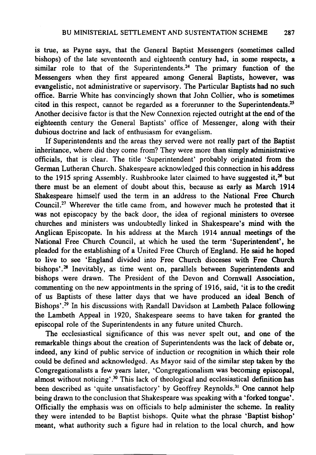is true, as Payne says, that the General Baptist Messengers (sometimes called bishops) of the late seventeenth and eighteenth century had, in some respects, a similar role to that of the Superintendents.<sup>24</sup> The primary function of the Messengers when they first appeared among General Baptists, however, was evangelistic, not administrative or supervisory. The Particular Baptists had no such office. Barrie White has convincingly shown that John Collier, who is sometimes cited in this respect, cannot be regarded as a forerunner to the Superintendents.<sup>25</sup> Another decisive factor is that the New Connexion rejected outright at the end of the eighteenth century the General Baptists' office of Messenger, along with their dubious doctrine and lack of enthusiasm for evangelism.

If Superintendents and the areas they served were not really part of the Baptist inheritance, where did they come from? They were more than simply administrative officials, that is clear. The title 'Superintendent' probably originated from the German Lutheran Church. Shakespeare acknowledged this connection in his address to the 1915 spring Assembly. Rushbrooke later claimed to have suggested it,<sup>26</sup> but there must be an element of doubt about this, because as early as March 1914 Shakespeare himself used the term in an address to the National Free Church Council.<sup>27</sup> Wherever the title came from, and however much he protested that it was not episcopacy by the back door, the idea of regional ministers to oversee churches and ministers was undoubtedly linked in Shakespeare's mind with the Anglican Episcopate. In his address at the March 1914 annual meetings of the National Free Church Council, at which he used the term 'Superintendent', he pleaded for the establishing of a United Free Church of England. He said he hoped to live to see 'England divided into Free Church dioceses with Free Church bishops'.<sup>28</sup> Inevitably, as time went on, parallels between Superintendents and bishops were drawn. The President of the Devon and Cornwall Association, commenting on the new appointments in the spring of 1916, said, 'it is to the credit of us Baptists of these latter days that we have produced an ideal Bench of Bishops'.<sup>29</sup> In his discussions with Randall Davidson at Lambeth Palace following the Lambeth Appeal in 1920, Shakespeare seems to have taken for granted the episcopal role of the Superintendents in any future united Church.

The ecclesiastical significance of this was never spelt out, and one of the remarkable things about the creation of Superintendents was the lack of debate or, indeed, any kind of public service of induction or recognition in which their role could be defined and acknowledged. As Mayor said of the similar step taken by the Congregationalists a few years later, 'Congregationalism was becoming episcopal, almost without noticing'.<sup>30</sup> This lack of theological and ecclesiastical definition has been described as 'quite unsatisfactory' by Geoffrey Reynolds.<sup>31</sup> One cannot help being drawn to the conclusion that Shakespeare was speaking with a 'forked tongue'. Officially the emphasis was on officials to help administer the scheme. In reality they were intended to be Baptist bishops. Quite what the phrase 'Baptist bishop' meant, what authority such a figure had in relation to the local church, and how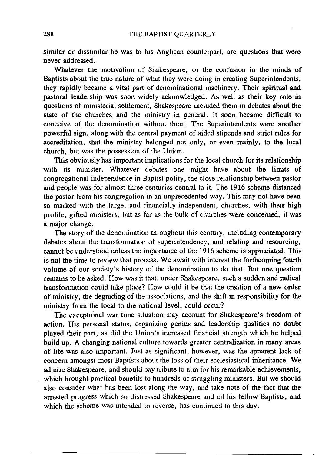similar or dissimilar he was to his Anglican counterpart, are questions that were never addressed.

Whatever the motivation of Shakespeare, or the confusion in the minds of Baptists about the true nature of what they were doing in creating Superintendents, they rapidly became a vital part of denominational machinery. Their spiritual and pastoral leadership was soon widely acknowledged. As well as their key role in questions of ministerial settlement, Shakespeare included them in debates about the state of the churches and the ministry in general. It soon became difficult to conceive of the denomination without them. The Superintendents were another powerful sign, along with the central payment of aided stipends and strict rules for accreditation, that the ministry belonged not only, or even mainly, to the local church, but was the possession of the Union.

This obviously has important implications for the local church for its relationship with its minister. Whatever debates one might have about the limits of congregational independence in Baptist polity, the close relationship between pastor and people was for almost three centuries central to it. The 1916 scheme distanced the pastor from his congregation in an unprecedented way. This may not have been so marked with the large, and financially independent, churches, with their high profile, gifted ministers, but as far as the bulk of churches were concerned, it was a major change.

The story of the denomination throughout this century, including contemporary debates about the transformation of superintendency, and relating and resourcing, cannot be understood unless the importance of the 1916 scheme is appreciated. This is not the time to review that process. We await with interest the forthcoming fourth volume of our society's history of the denomination to do that. But one question remains to be asked. How was it that, under Shakespeare, such a sudden and radical transformation could take place? How could it be that the creation of a new order of ministry, the degrading of the associations, and the shift in responsibility for the ministry from the local to the national level, could occur?

The exceptional war-time situation may account for Shakespeare's freedom of action. His personal status, organizing genius and leadership qualities no doubt played their part, as did the Union's increased financial strength which he helped build up. A changing national culture towards greater centralization in many areas of life was also important. Just as significant, however, was the apparent lack of concern amongst most Baptists about the loss of their ecclesiastical inheritance. We admire Shakespeare, and should pay tribute to him for his remarkable achievements, which brought practical benefits to hundreds of struggling ministers. But we should also consider what has been lost along the way, and take note of the fact that the arrested progress which so distressed Shakespeare and all his fellow Baptists, and which the scheme was intended to reverse, has continued to this day.